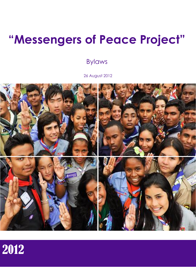# **"Messengers of Peace Project"**

## Bylaws

26 August 2012



# 2012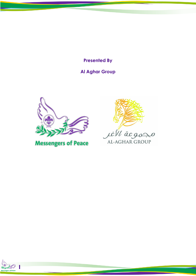**Presented By**

### **Al Aghar Group**



**Messengers of Peace** 



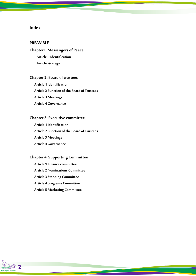#### **Index**

#### **PREAMBLE**

#### **Chapter1: Messengers of Peace**

**Article1: Identification Article strategy** 

#### **Chapter 2: Board of trustees**

**Article 1 Identification Article 2 Function of the Board of Trustees Article 3 Meetings Article 4 Governance**

#### **Chapter 3:Executive committee**

**Article 1 Identification Article 2 Function of the Board of Trustees Article 3 Meetings Article 4 Governance**

#### **Chapter 4:Supporting Committee**

**Article 1 Finance committee Article 2 Nominations Committee Article 3 Standing Committee Article 4 programs Committee Article 5 Marketing Committee**

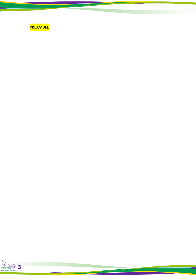

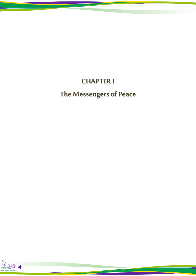## **CHAPTER I**

# **The Messengers of Peace**

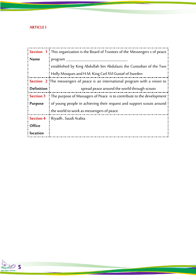#### **ARTICLE I**

|                   | <b>Section</b> $1^{\perp}$ This organization is the Board of Trustees of the Messengers s of peace |
|-------------------|----------------------------------------------------------------------------------------------------|
| <b>Name</b>       | program                                                                                            |
|                   | established by King Abdullah bin Abdulaziz the Custodian of the Two                                |
|                   | Holly Mosques and H.M. King Carl XVI Gustaf of Sweden                                              |
|                   | <b>Section</b> 2. The messengers of peace is an international program with a vision to             |
| <b>Definition</b> | spread peace around the world through scouts                                                       |
| <b>Section 3</b>  | ! The purpose of Massagers of Peace is to contribute to the development !                          |
| <b>Purpose</b>    | of young people in achieving their request and support scouts around                               |
|                   | the world to work as messengers of peace                                                           |
| <b>Section 4</b>  | ! Riyadh , Saudi Arabia                                                                            |
| <b>Office</b>     |                                                                                                    |
| location          |                                                                                                    |

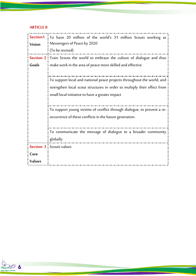#### **ARTICLE II**

| Section1      | To have 20 million of the world's 31 million Scouts working as                      |
|---------------|-------------------------------------------------------------------------------------|
| <b>Vision</b> | Messengers of Peace by 2020                                                         |
|               | (To be revised)                                                                     |
|               | <b>Section 2</b> Train Scouts the world to embrace the culture of dialogue and thus |
| Goals         | make work in the area of peace more skilled and effective                           |
|               |                                                                                     |
|               | To support local and national peace projects throughout the world, and              |
|               | strengthen local scout structures in order to multiply their effect from            |
|               | small local initiative to have a greater impact                                     |
|               |                                                                                     |
|               | To support young victims of conflict through dialogue, to prevent a re-             |
|               | occurrence of these conflicts in the future generation.                             |
|               |                                                                                     |
|               | To communicate the message of dialogue to a broader community                       |
|               | globally                                                                            |
|               | <b>Section 3</b> Scouts values                                                      |
| Core          |                                                                                     |
| Values        |                                                                                     |

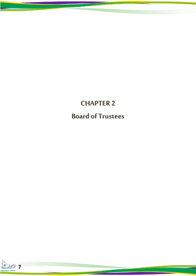**CHAPTER 2 Board of Trustees**

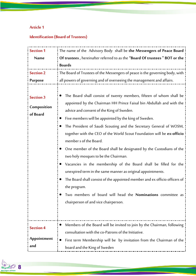### **Article 1**

### **Identification (Board of Trustees)**

| <b>Section 1</b>                            | The name of the Advisory Body shall be the Messengers of Peace Board                                                                                                                                                                                                                                                                                                                                                                                                                                                                                                                                                                                                                                                                                                                                                                                                                |
|---------------------------------------------|-------------------------------------------------------------------------------------------------------------------------------------------------------------------------------------------------------------------------------------------------------------------------------------------------------------------------------------------------------------------------------------------------------------------------------------------------------------------------------------------------------------------------------------------------------------------------------------------------------------------------------------------------------------------------------------------------------------------------------------------------------------------------------------------------------------------------------------------------------------------------------------|
| <b>Name</b>                                 | Of trustees, hereinafter referred to as the "Board Of trustees" BOT or the                                                                                                                                                                                                                                                                                                                                                                                                                                                                                                                                                                                                                                                                                                                                                                                                          |
|                                             | <b>Boards</b>                                                                                                                                                                                                                                                                                                                                                                                                                                                                                                                                                                                                                                                                                                                                                                                                                                                                       |
| <b>Section 2</b>                            | The Board of Trustees of the Messengers of peace is the governing body, with                                                                                                                                                                                                                                                                                                                                                                                                                                                                                                                                                                                                                                                                                                                                                                                                        |
| <b>Purpose</b>                              | all powers of governing and of overseeing the management and affairs.                                                                                                                                                                                                                                                                                                                                                                                                                                                                                                                                                                                                                                                                                                                                                                                                               |
| <b>Section 3</b><br>Composition<br>of Board | The Board shall consist of twenty members, fifteen of whom shall be<br>appointed by the Chairman HH Prince Faisal bin Abdullah and with the<br>advice and consent of the King of Sweden.<br>Five members will be appointed by the king of Sweden.<br>The President of Saudi Scouting and the Secretary General of WOSM,<br>together with the CEO of the World Scout Foundation will be ex-officio<br>member s of the Board.<br>One member of the Board shall be designated by the Custodians of the<br>two holy mosques to be the Chairman.<br>Vacancies in the membership of the Board shall be filled for the<br>unexpired term in the same manner as original appointments.<br>The Board shall consist of the appointed member and ex officio officers of<br>the program.<br>Two members of board will head the Nominations committee as<br>chairperson of and vice chairperson. |
| <b>Section 4</b>                            | Members of the Board will be invited to join by the Chairman, following<br>consultation with the co-Patrons of the Initiative.                                                                                                                                                                                                                                                                                                                                                                                                                                                                                                                                                                                                                                                                                                                                                      |
| Appointment<br>and                          | First term Membership will be by invitation from the Chairman of the<br>board and the King of Sweden                                                                                                                                                                                                                                                                                                                                                                                                                                                                                                                                                                                                                                                                                                                                                                                |

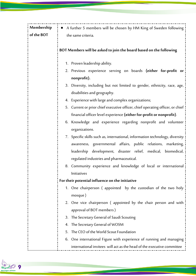| Membership<br>of the BOT | A further 5 members will be chosen by HM King of Sweden following<br>$\bullet$<br>the same criteria.                                                                                                                                                                                                                                                                                                                                                                                                                                                                                                                                                                                                                                                     |
|--------------------------|----------------------------------------------------------------------------------------------------------------------------------------------------------------------------------------------------------------------------------------------------------------------------------------------------------------------------------------------------------------------------------------------------------------------------------------------------------------------------------------------------------------------------------------------------------------------------------------------------------------------------------------------------------------------------------------------------------------------------------------------------------|
|                          | BOT Members will be asked to join the board based on the following                                                                                                                                                                                                                                                                                                                                                                                                                                                                                                                                                                                                                                                                                       |
|                          | 1. Proven leadership ability.<br>2. Previous experience serving on boards (either for-profit or<br>nonprofit).<br>Diversity, including but not limited to gender, ethnicity, race, age,<br>3.<br>disabilities and geography.<br>4. Experience with large and complex organizations;<br>5. Current or prior chief executive officer, chief operating officer, or chief<br>financial officer level experience (either for-profit or nonprofit).<br>6. Knowledge and experience regarding nonprofit and volunteer<br>organizations.<br>7. Specific skills such as, international, information technology, diversity<br>awareness, governmental affairs, public relations, marketing,<br>medical, biomedical,<br>development, disaster relief,<br>leadership |
|                          | regulated industries and pharmaceutical.<br>8. Community experience and knowledge of local or international<br>Initiatives<br>For their potential influence on the initiative                                                                                                                                                                                                                                                                                                                                                                                                                                                                                                                                                                            |
|                          | 1. One chairperson (appointed by the custodian of the two holy<br>mosque)<br>2. One vice chairperson (appointed by the chair person and with                                                                                                                                                                                                                                                                                                                                                                                                                                                                                                                                                                                                             |
|                          | approval of BOT members)<br>The Secretary General of Saudi Scouting<br>3.<br>The Secretary General of WOSM<br>4.                                                                                                                                                                                                                                                                                                                                                                                                                                                                                                                                                                                                                                         |
|                          | The CEO of the World Scout Foundation<br>5.<br>One international Figure with experience of running and managing<br>6.<br>international invitees will act as the head of the executive committee                                                                                                                                                                                                                                                                                                                                                                                                                                                                                                                                                          |

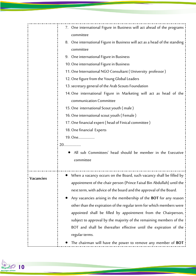|           | 7. One international Figure in Business will act ahead of the programs     |
|-----------|----------------------------------------------------------------------------|
|           | committee                                                                  |
|           | 8. One international Figure in Business will act as a head of the standing |
|           | committee                                                                  |
|           | 9. One international Figure in Business                                    |
|           | 10. One international Figure in Business                                   |
|           | 11. One International NGO Consultant (University professor)                |
|           | 12. One figure from the Young Global Leaders                               |
|           | 13. secretary general of the Arab Scouts Foundation                        |
|           | 14. One international Figure in Marketing will act as head of the          |
|           | communication Committee                                                    |
|           | 15. One international Scout youth (male)                                   |
|           | 16. One international scout youth (Female)                                 |
|           | 17. One financial expert (head of Finical committee)                       |
|           | 18. One financial Experts                                                  |
|           | 19. One                                                                    |
|           |                                                                            |
|           | All sub Committees' head should be member in the Executive                 |
|           | committee                                                                  |
|           |                                                                            |
|           | When a vacancy occurs on the Board, such vacancy shall be filled by        |
| Vacancies | appointment of the chair person (Prince Faisal Bin Abdullah) until the     |
|           | next term, with advice of the board and the approval of the Board.         |
|           | Any vacancies arising in the membership of the BOT for any reason          |
|           | other than the expiration of the regular term for which members were       |
|           | appointed shall be filled by appointment from the Chairperson,             |
|           | subject to approval by the majority of the remaining members of the        |
|           | BOT and shall be thereafter effective until the expiration of the          |
|           | regular terms.                                                             |
|           | The chairman will have the power to remove any member of BOT               |

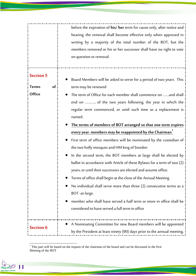|                                                         | before the expiration of his/ her term for cause only, after notice and<br>hearing, the removal shall become effective only when approved in<br>writing by a majority of the total number of the BOT, but the<br>members removed or his or her successor shall have no right to vote<br>on question or removal.                                                                                                                                                                                                                                                                                                                                                                                                                                                                                                                                                                                                                                                                                              |
|---------------------------------------------------------|--------------------------------------------------------------------------------------------------------------------------------------------------------------------------------------------------------------------------------------------------------------------------------------------------------------------------------------------------------------------------------------------------------------------------------------------------------------------------------------------------------------------------------------------------------------------------------------------------------------------------------------------------------------------------------------------------------------------------------------------------------------------------------------------------------------------------------------------------------------------------------------------------------------------------------------------------------------------------------------------------------------|
| <b>Section 5</b><br>of<br><b>Terms</b><br><b>Office</b> | Board Members will be asked to serve for a period of two years. This<br>term may be renewed<br>The term of Office for each member shall commence on and shall<br>end on , of the two years following, the year in which the<br>regular term commenced, or until such time as a replacement is<br>named.<br>The terms of members of BOT arranged so that one term expires<br>every year. members may be reappointed by the Chairman<br>First term of office members will be nominated by the custodian of<br>the two holly mosques and HM king of Sweden<br>In the second term, the BOT members at large shall be elected by<br>ballot in accordance with Article of these Bylaws for a term of two (2)<br>years, or until their successors are elected and assume office.<br>Terms of office shall begin at the close of the Annual Meeting.<br>No individual shall serve more than three (2) consecutive terms as a<br>BOT-at-large.<br>member who shall have served a half term or more in office shall be |
| <b>Section 6</b>                                        | considered to have served a full term in office<br>A Nominating Committee for new Board members will be appointed<br>by the President at least ninety (90) days prior to the annual meeting,                                                                                                                                                                                                                                                                                                                                                                                                                                                                                                                                                                                                                                                                                                                                                                                                                 |

 $1$ <sup>1</sup> This part will be based on the request of the chairman of the board and can be discussed in the first Meeting of the BOT



-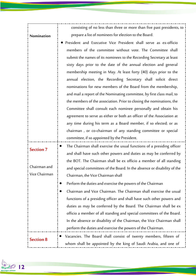|                  | consisting of no less than three or more than five past presidents, to   |
|------------------|--------------------------------------------------------------------------|
| Nomination       | prepare a list of nominees for election to the Board.                    |
|                  | • President and Executive Vice President shall serve as ex-officio       |
|                  | members of the committee without vote. The Committee shall               |
|                  | submit the names of its nominees to the Recording Secretary at least     |
|                  | sixty days prior to the date of the annual election and general          |
|                  | membership meeting in May. At least forty (40) days prior to the         |
|                  | annual election, the Recording Secretary shall solicit direct            |
|                  | nominations for new members of the Board from the membership,            |
|                  | and mail a report of the Nominating committee, by first class mail, to   |
|                  | the members of the association. Prior to closing the nominations, the    |
|                  | Committee shall consult each nominee personally and obtain his           |
|                  | agreement to serve as either or both an officer of the Association at    |
|                  | any time during his term as a Board member, if so elected; or as         |
|                  | chairman, or co-chairman of any standing committee or special            |
|                  | committee, if so appointed by the President.                             |
| <b>Section 7</b> | The Chairman shall exercise the usual functions of a presiding officer   |
|                  | and shall have such other powers and duties as may be conferred by       |
|                  | the BOT. The Chairman shall be ex officio a member of all standing       |
| Chairman and     | and special committees of the Board. In the absence or disability of the |
| Vice Chairman    | Chairman, the Vice Chairman shall                                        |
|                  | Perform the duties and exercise the powers of the Chairman<br>$\bullet$  |
|                  | Chairman and Vice Chairman. The Chairman shall exercise the usual        |
|                  | functions of a presiding officer and shall have such other powers and    |
|                  | duties as may be conferred by the Board. The Chairman shall be ex        |
|                  | officio a member of all standing and special committees of the Board.    |
|                  | In the absence or disability of the Chairman, the Vice Chairman shall    |
|                  | perform the duties and exercise the powers of the Chairman.              |
|                  | Vacancies. The Board shall consist of twenty members, fifteen of         |
| <b>Section 8</b> | whom shall be appointed by the king of Saudi Arabia, and one of          |

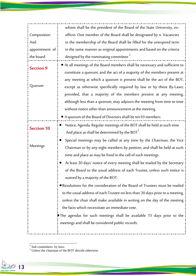|                   | whom shall be the president of the Board of the State University, ex-                       |
|-------------------|---------------------------------------------------------------------------------------------|
| Composition       | officio. One member of the Board shall be designated by n. Vacancies                        |
| And               | in the membership of the Board shall be filled for the unexpired term                       |
| appointment of    | in the same manner as original appointments and based on the criteria                       |
| the board         | designed by the nominating committee <sup>2</sup>                                           |
|                   | • At all meetings of the Board members shall be necessary and sufficient to                 |
| <b>Section 9</b>  | constitute a quorum, and the act of a majority of the members present at                    |
|                   | any meeting at which a quorum is present shall be the act of the BOT,                       |
| Quorum            | except as otherwise specifically required by law or by these By-Laws;                       |
|                   | provided, that a majority of the members present at any meeting,                            |
|                   | although less than a quorum, may adjourn the meeting from time to time                      |
|                   | without notice other than announcement at the meeting.                                      |
|                   | • A quorum of the Board of Directors shall be ten10 members                                 |
|                   | Notice, Agenda. Regular meetings of the BOT shall be held at such time                      |
| <b>Section 10</b> | And place as shall be determined by the BOT <sup>3</sup> .                                  |
|                   | Special meetings may be called at any time by the Chairman, the Vice                        |
| Meetings          | Chairman or by any eight members by petition, and shall be held at such                     |
|                   | time and place as may be fixed in the call of such meetings.                                |
|                   | At least 30 days' notice of every meeting shall be mailed by the Secretary                  |
|                   | of the Board to the usual address of each Trustee, unless such notice is i                  |
|                   | waived by a majority of the BOT.                                                            |
|                   | . Resolutions for the consideration of the Board of Trustees must be mailed                 |
|                   | to the usual address of each Trustee no less than 30 days prior to a meeting,               |
|                   | unless the chair shall make available in writing on the day of the meeting                  |
|                   | the facts which necessitate an immediate vote.                                              |
|                   | $\blacktriangleright$ The agendas for such meetings shall be available 15 days prior to the |
|                   | meetings and shall be considered public records.                                            |
|                   |                                                                                             |

<sup>&</sup>lt;sup>2</sup> Sub committees by laws

<sup>&</sup>lt;sup>3</sup> Unless the chairman of the BOT deicide otherwise

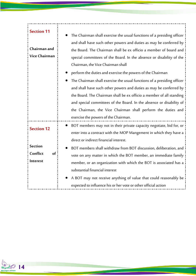#### **Section 11**

**Chairman and**

**Vice Chairman**

**Section 12**

**Section**

**Interest**

 The Chairman shall exercise the usual functions of a presiding officer and shall have such other powers and duties as may be conferred by the Board. The Chairman shall be ex officio a member of board and special committees of the Board. In the absence or disability of the Chairman, the Vice Chairman shall

perform the duties and exercise the powers of the Chairman

 The Chairman shall exercise the usual functions of a presiding officer and shall have such other powers and duties as may be conferred by the Board. The Chairman shall be ex officio a member of all standing and special committees of the Board. In the absence or disability of the Chairman, the Vice Chairman shall perform the duties and exercise the powers of the Chairman.

## BOT members may not in their private capacity negotiate, bid for, or enter into a contract with the MOP Mangement in which they have a direct or indirect financial interest.

**Conflict of**  BOT members shall withdraw from BOT discussion, deliberation, and vote on any matter in which the BOT member, an immediate family member, or an organization with which the BOT is associated has a substantial financial interest

> A BOT may not receive anything of value that could reasonably be expected to influence his or her vote or other official action

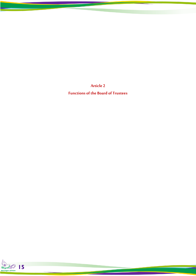**Article 2 Functions of the Board of Trustees**

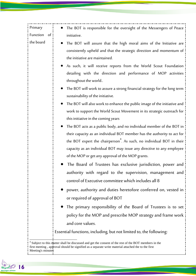| Primary        | The BOT is responsible for the oversight of the Messengers of Peace                                                                                                          |
|----------------|------------------------------------------------------------------------------------------------------------------------------------------------------------------------------|
| Function<br>of | initiative.                                                                                                                                                                  |
| the board      | The BOT will assure that the high moral aims of the Initiative are<br>consistently upheld and that the strategic direction and momentum of<br>the initiative are maintained. |
|                | As such, it will receive reports from the World Scout Foundation<br>detailing with the direction and performance of MOP activities<br>throughout the world                   |
|                | The BOT will work to assure a strong financial strategy for the long term<br>sustainability of the initiative.                                                               |
|                | The BOT will also work to enhance the public image of the initiative and<br>work to support the World Scout Movement in its strategic outreach for                           |
|                | this initiative in the coming years                                                                                                                                          |
|                | The BOT acts as a public body, and no individual member of the BOT in                                                                                                        |
|                | their capacity as an individual BOT member has the authority to act for                                                                                                      |
|                | the BOT expert the chairperson <sup>4</sup> . As such, no individual BOT in their                                                                                            |
|                | capacity as an individual BOT may issue any directive to any employee                                                                                                        |
|                | of the MOP or get any approval of the MOP grants.                                                                                                                            |
|                | The Board of Trustees has exclusive jurisdiction, power and                                                                                                                  |
|                | authority with regard to the supervision, management and                                                                                                                     |
|                | control of Executive committee which includes all 8                                                                                                                          |
|                | power, authority and duties heretofore conferred on, vested in                                                                                                               |
|                | or required of approval of BOT                                                                                                                                               |
|                | The primary responsibility of the Board of Trustees is to set                                                                                                                |
|                | policy for the MOP and prescribe MOP strategy and frame work                                                                                                                 |
|                | and core values.                                                                                                                                                             |
|                | Essential functions, including, but not limited to, the following:                                                                                                           |

<sup>&</sup>lt;sup>4</sup> Subject to this matter shall be discussed and get the consent of the rest of the BOT members in the first meeting , approval should be signified as a separate write material attached the to the first Meeting's minutes

i

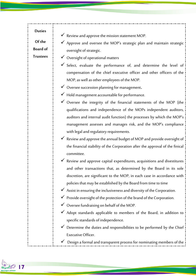| <b>Duties</b>   | $\checkmark$ Review and approve the mission statement MOP.                          |
|-----------------|-------------------------------------------------------------------------------------|
| Of the          |                                                                                     |
| <b>Board of</b> | $\checkmark$ Approve and oversee the MOP's strategic plan and maintain strategic    |
| <b>Trustees</b> | oversight of strategic.                                                             |
|                 | ◆ Oversight of operational matters                                                  |
|                 | $\checkmark$ Select, evaluate the performance of, and determine the level of        |
|                 | compensation of the chief executive officer and other officers of the               |
|                 | MOP, as well as other employees of the MOP.                                         |
|                 | $\checkmark$ Oversee succession planning for management.                            |
|                 | $\checkmark$ Hold management accountable for performance.                           |
|                 | $\checkmark$ Oversee the integrity of the financial statements of the MOP (the      |
|                 | qualifications and independence of the MOPs independent auditors,                   |
|                 | auditors and internal audit function) the processes by which the MOP's              |
|                 | management assesses and manages risk, and the MOP's compliance                      |
|                 | with legal and regulatory requirements.                                             |
|                 | √ Review and approve the annual budget of MOP and provide oversight of              |
|                 | the financial stability of the Corporation after the approval of the finical        |
|                 | committee.                                                                          |
|                 | $\checkmark$ Review and approve capital expenditures, acquisitions and divestitures |
|                 | and other transactions that, as determined by the Board in its sole                 |
|                 | discretion, are significant to the MOP, in each case in accordance with             |
|                 | policies that may be established by the Board from time to time                     |
|                 | $\checkmark$ Assist in ensuring the inclusiveness and diversity of the Corporation. |
|                 | $\checkmark$ Provide oversight of the protection of the brand of the Corporation.   |
|                 | V Oversee fundraising on behalf of the MOP.                                         |
|                 | √ Adopt standards applicable to members of the Board, in addition to                |
|                 | specific standards of independence.                                                 |
|                 | √ Determine the duties and responsibilities to be performed by the Chief            |
|                 | Executive Officer.                                                                  |
|                 | Design a formal and transparent process for nominating members of the               |
|                 |                                                                                     |

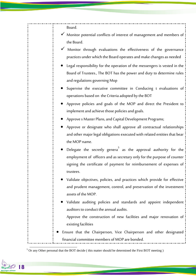Board.

- $\checkmark$  Monitor potential conflicts of interest of management and members of the Board.
- Monitor through evaluations the effectiveness of the governance practices under which the Board operates and make changes as needed
- Legal responsibility for the operation of the messengers is vested in the Board of Trustees., The BOT has the power and duty to determine rules and regulations governing Mop
- Supervise the executive committee in Conducing t evaluations of operations based on the Criteria adopted by the BOT
- Approve policies and goals of the MOP and direct the President to implement and achieve those policies and goals.
- Approve s Master Plans, and Capital Development Programs;
- Approve or designate who shall approve all contractual relationships and other major legal obligations executed with related entities that bear the MOP name.
- $\bullet$  Delegate the secretly genera<sup>5</sup> as the approval authority for the employment of officers and as secretary only for the purpose of counter signing the certificate of payment for reimbursement of expenses of trustees.
- Validate objectives, policies, and practices which provide for effective and prudent management, control, and preservation of the investment assets of the MOP.
- Validate auditing policies and standards and appoint independent auditors to conduct the annual audits.

Approve the construction of new facilities and major renovation of existing facilities

 Ensure that the Chairperson, Vice Chairperson and other designated financial committee members of MOP are bonded.

 $5$  Or any Other personal that the BOT decide (this matter should be determined the First BOT meeting)



-